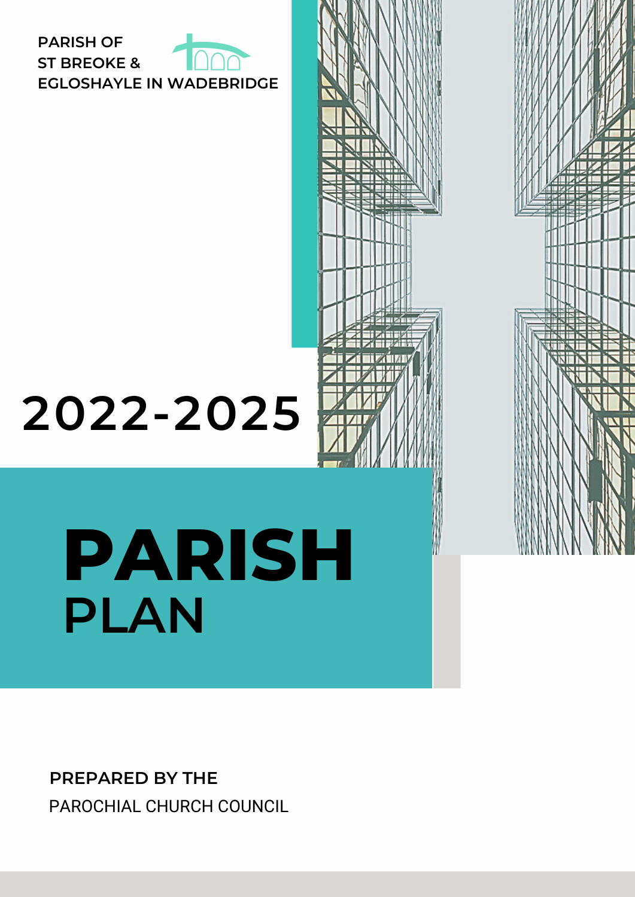

# **2022-2025**

# **PARISH PLAN**

**PREPARED BY THE** PAROCHIAL CHURCH COUNCIL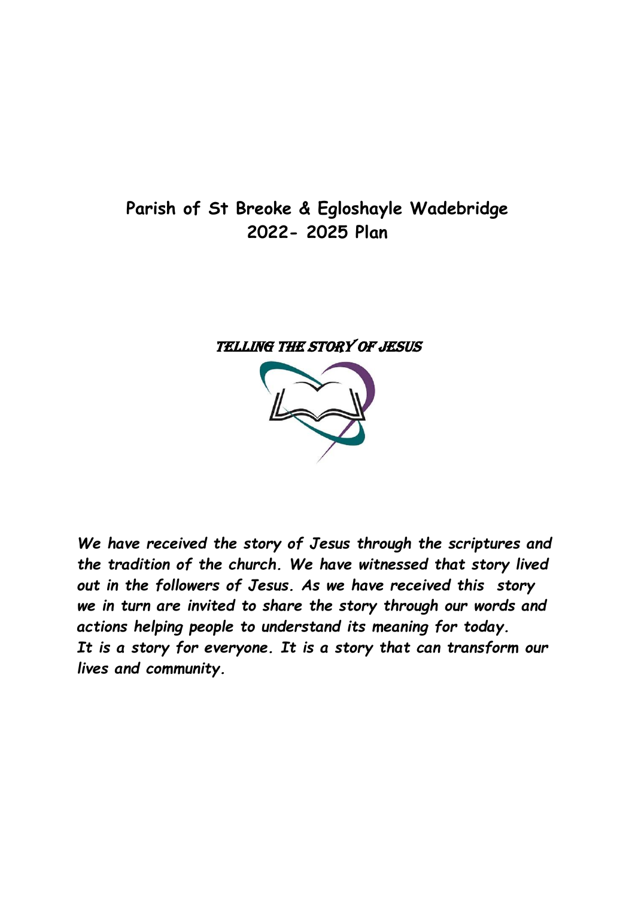# **Parish of St Breoke & Egloshayle Wadebridge 2022- 2025 Plan**

#### TELLING THE STORY OF JESUS



*We have received the story of Jesus through the scriptures and the tradition of the church. We have witnessed that story lived out in the followers of Jesus. As we have received this story we in turn are invited to share the story through our words and actions helping people to understand its meaning for today. It is a story for everyone. It is a story that can transform our lives and community.*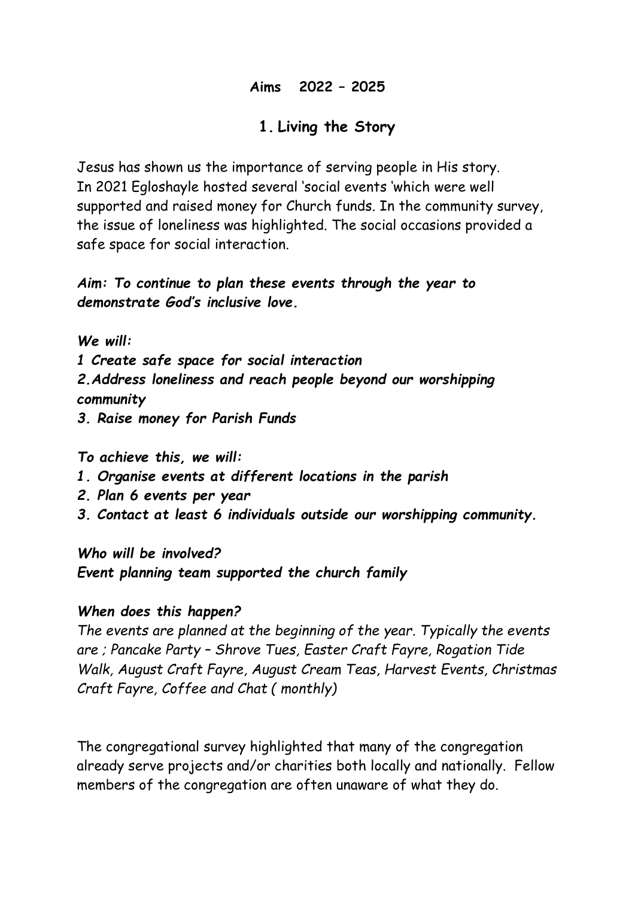#### **Aims 2022 – 2025**

#### **1. Living the Story**

Jesus has shown us the importance of serving people in His story. In 2021 Egloshayle hosted several 'social events 'which were well supported and raised money for Church funds. In the community survey, the issue of loneliness was highlighted. The social occasions provided a safe space for social interaction.

*Aim: To continue to plan these events through the year to demonstrate God's inclusive love.*

*We will:*

*1 Create safe space for social interaction*

*2.Address loneliness and reach people beyond our worshipping community*

*3. Raise money for Parish Funds*

*To achieve this, we will:*

- *1. Organise events at different locations in the parish*
- *2. Plan 6 events per year*
- *3. Contact at least 6 individuals outside our worshipping community.*

*Who will be involved?*

*Event planning team supported the church family*

#### *When does this happen?*

*The events are planned at the beginning of the year. Typically the events are ; Pancake Party – Shrove Tues, Easter Craft Fayre, Rogation Tide Walk, August Craft Fayre, August Cream Teas, Harvest Events, Christmas Craft Fayre, Coffee and Chat ( monthly)*

The congregational survey highlighted that many of the congregation already serve projects and/or charities both locally and nationally. Fellow members of the congregation are often unaware of what they do.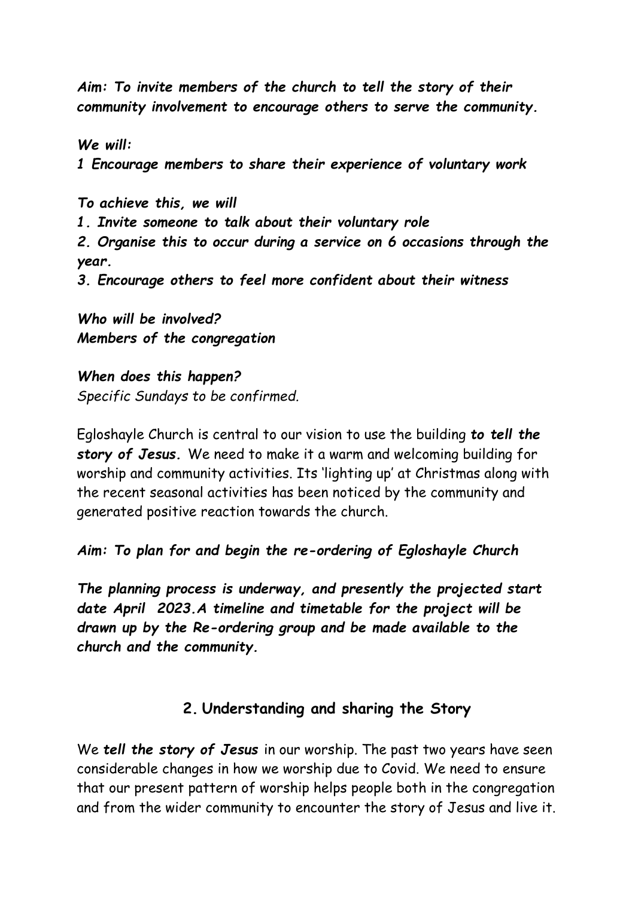*Aim: To invite members of the church to tell the story of their community involvement to encourage others to serve the community.*

*We will: 1 Encourage members to share their experience of voluntary work*

*To achieve this, we will 1. Invite someone to talk about their voluntary role 2. Organise this to occur during a service on 6 occasions through the year. 3. Encourage others to feel more confident about their witness*

*Who will be involved? Members of the congregation*

*When does this happen? Specific Sundays to be confirmed.*

Egloshayle Church is central to our vision to use the building *to tell the story of Jesus.* We need to make it a warm and welcoming building for worship and community activities. Its 'lighting up' at Christmas along with the recent seasonal activities has been noticed by the community and generated positive reaction towards the church.

*Aim: To plan for and begin the re-ordering of Egloshayle Church* 

*The planning process is underway, and presently the projected start date April 2023.A timeline and timetable for the project will be drawn up by the Re-ordering group and be made available to the church and the community.*

## **2. Understanding and sharing the Story**

We *tell the story of Jesus* in our worship. The past two years have seen considerable changes in how we worship due to Covid. We need to ensure that our present pattern of worship helps people both in the congregation and from the wider community to encounter the story of Jesus and live it.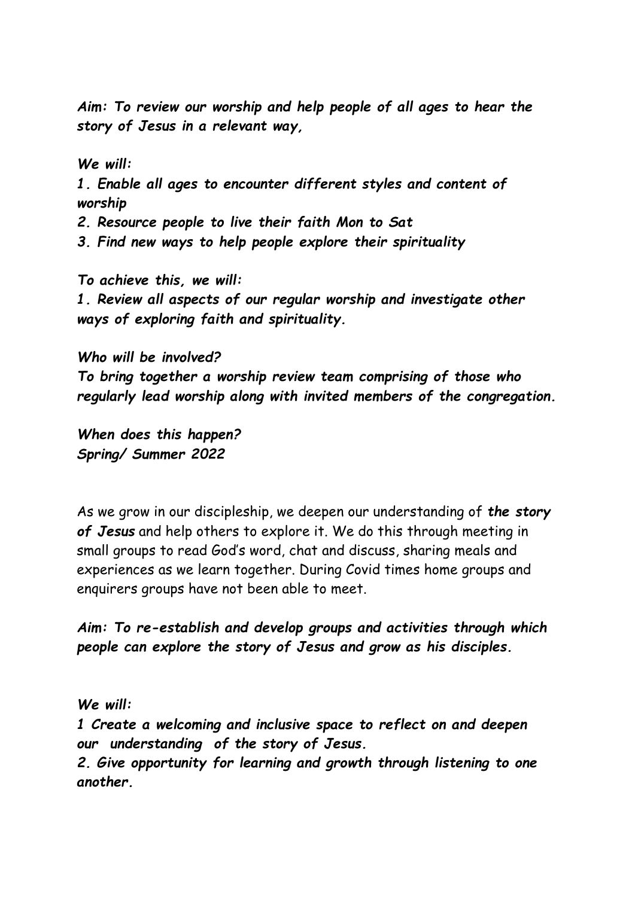*Aim: To review our worship and help people of all ages to hear the story of Jesus in a relevant way,*

*We will: 1. Enable all ages to encounter different styles and content of worship*

*2. Resource people to live their faith Mon to Sat*

*3. Find new ways to help people explore their spirituality*

*To achieve this, we will: 1. Review all aspects of our regular worship and investigate other ways of exploring faith and spirituality.*

*Who will be involved? To bring together a worship review team comprising of those who regularly lead worship along with invited members of the congregation.*

*When does this happen? Spring/ Summer 2022* 

As we grow in our discipleship, we deepen our understanding of *the story of Jesus* and help others to explore it. We do this through meeting in small groups to read God's word, chat and discuss, sharing meals and experiences as we learn together. During Covid times home groups and enquirers groups have not been able to meet.

*Aim: To re-establish and develop groups and activities through which people can explore the story of Jesus and grow as his disciples.*

*We will:*

*1 Create a welcoming and inclusive space to reflect on and deepen our understanding of the story of Jesus.*

*2. Give opportunity for learning and growth through listening to one another.*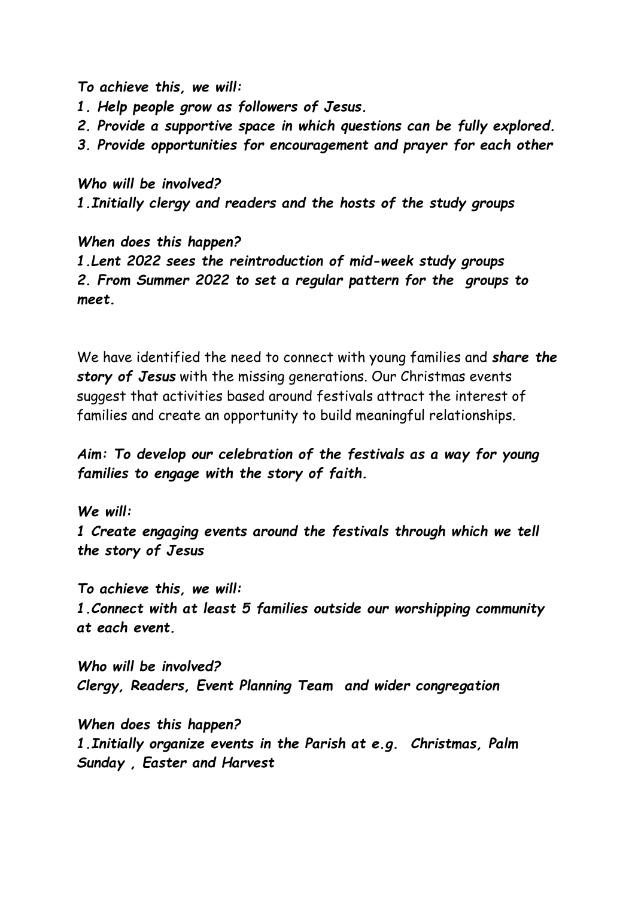*To achieve this, we will:*

- *1. Help people grow as followers of Jesus.*
- *2. Provide a supportive space in which questions can be fully explored.*
- *3. Provide opportunities for encouragement and prayer for each other*

#### *Who will be involved?*

*1.Initially clergy and readers and the hosts of the study groups* 

*When does this happen?*

*1.Lent 2022 sees the reintroduction of mid-week study groups 2. From Summer 2022 to set a regular pattern for the groups to meet.*

We have identified the need to connect with young families and *share the story of Jesus* with the missing generations. Our Christmas events suggest that activities based around festivals attract the interest of families and create an opportunity to build meaningful relationships.

### *Aim: To develop our celebration of the festivals as a way for young families to engage with the story of faith.*

*We will: 1 Create engaging events around the festivals through which we tell the story of Jesus*

*To achieve this, we will: 1.Connect with at least 5 families outside our worshipping community at each event.*

*Who will be involved? Clergy, Readers, Event Planning Team and wider congregation*

*When does this happen? 1.Initially organize events in the Parish at e.g. Christmas, Palm Sunday , Easter and Harvest*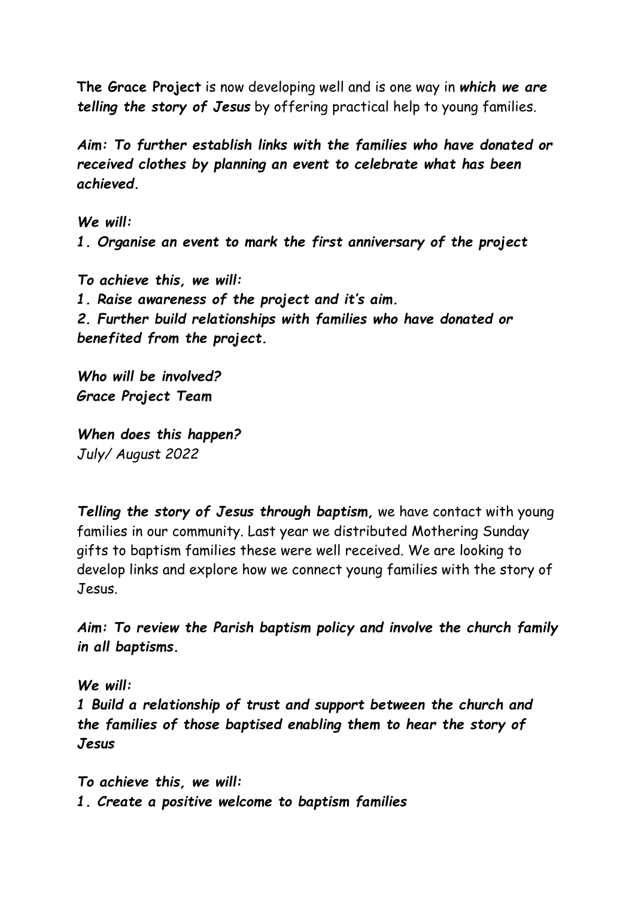**The Grace Project** is now developing well and is one way in *which we are telling the story of Jesus* by offering practical help to young families.

*Aim: To further establish links with the families who have donated or received clothes by planning an event to celebrate what has been achieved.*

*We will: 1. Organise an event to mark the first anniversary of the project* 

*To achieve this, we will: 1. Raise awareness of the project and it's aim. 2. Further build relationships with families who have donated or benefited from the project.*

*Who will be involved? Grace Project Team*

*When does this happen? July/ August 2022*

*Telling the story of Jesus through baptism,* we have contact with young families in our community. Last year we distributed Mothering Sunday gifts to baptism families these were well received. We are looking to develop links and explore how we connect young families with the story of Jesus.

*Aim: To review the Parish baptism policy and involve the church family in all baptisms.*

*We will: 1 Build a relationship of trust and support between the church and the families of those baptised enabling them to hear the story of Jesus* 

*To achieve this, we will: 1. Create a positive welcome to baptism families*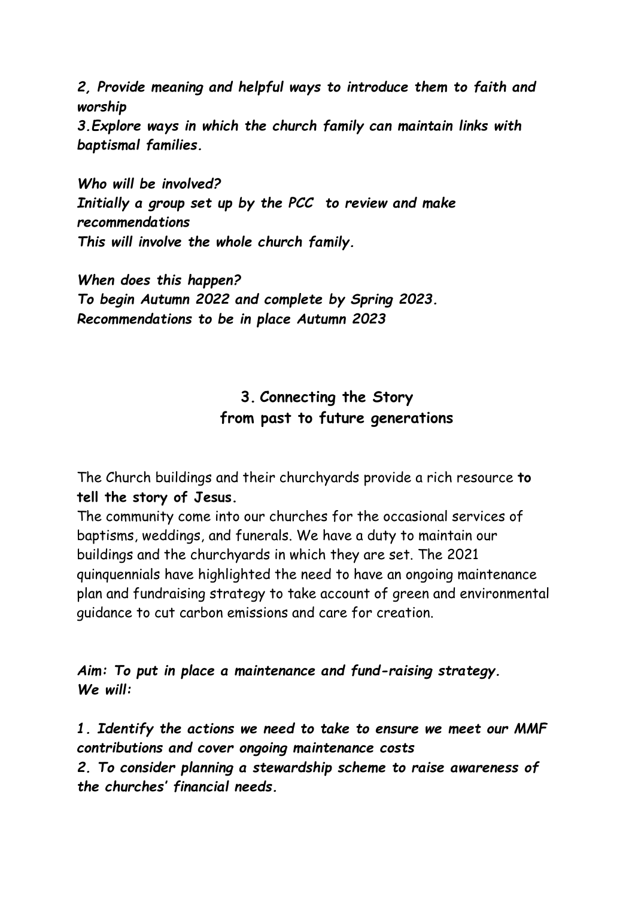*2, Provide meaning and helpful ways to introduce them to faith and worship*

*3.Explore ways in which the church family can maintain links with baptismal families.*

*Who will be involved? Initially a group set up by the PCC to review and make recommendations This will involve the whole church family.*

*When does this happen? To begin Autumn 2022 and complete by Spring 2023. Recommendations to be in place Autumn 2023*

# **3. Connecting the Story from past to future generations**

The Church buildings and their churchyards provide a rich resource **to tell the story of Jesus.**

The community come into our churches for the occasional services of baptisms, weddings, and funerals. We have a duty to maintain our buildings and the churchyards in which they are set. The 2021 quinquennials have highlighted the need to have an ongoing maintenance plan and fundraising strategy to take account of green and environmental guidance to cut carbon emissions and care for creation.

*Aim: To put in place a maintenance and fund-raising strategy. We will:*

*1. Identify the actions we need to take to ensure we meet our MMF contributions and cover ongoing maintenance costs* 

*2. To consider planning a stewardship scheme to raise awareness of the churches' financial needs.*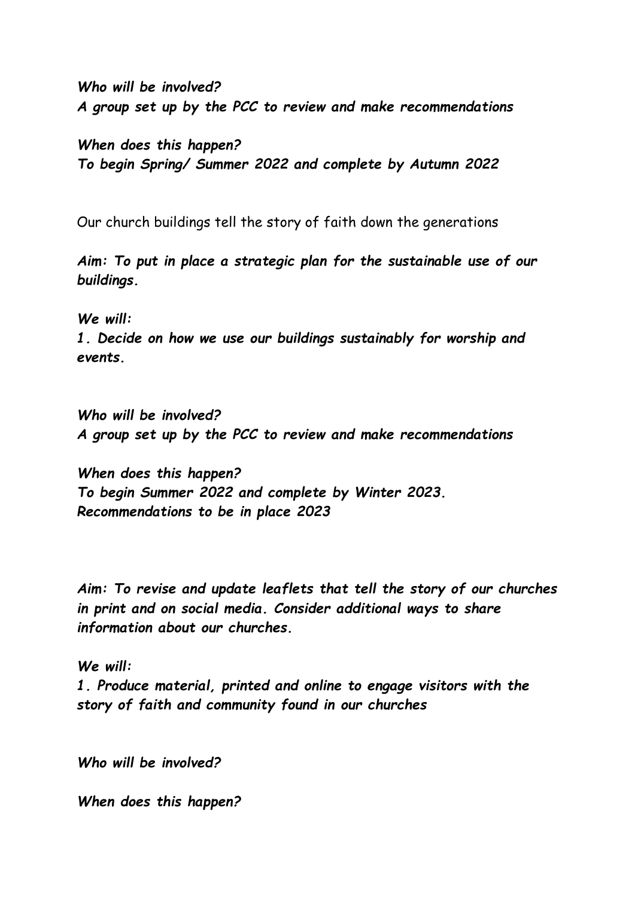*Who will be involved? A group set up by the PCC to review and make recommendations*

*When does this happen? To begin Spring/ Summer 2022 and complete by Autumn 2022* 

Our church buildings tell the story of faith down the generations

*Aim: To put in place a strategic plan for the sustainable use of our buildings.*

*We will:*

*1. Decide on how we use our buildings sustainably for worship and events.*

*Who will be involved? A group set up by the PCC to review and make recommendations*

*When does this happen? To begin Summer 2022 and complete by Winter 2023. Recommendations to be in place 2023*

*Aim: To revise and update leaflets that tell the story of our churches in print and on social media. Consider additional ways to share information about our churches.*

*We will:*

*1. Produce material, printed and online to engage visitors with the story of faith and community found in our churches* 

*Who will be involved?*

*When does this happen?*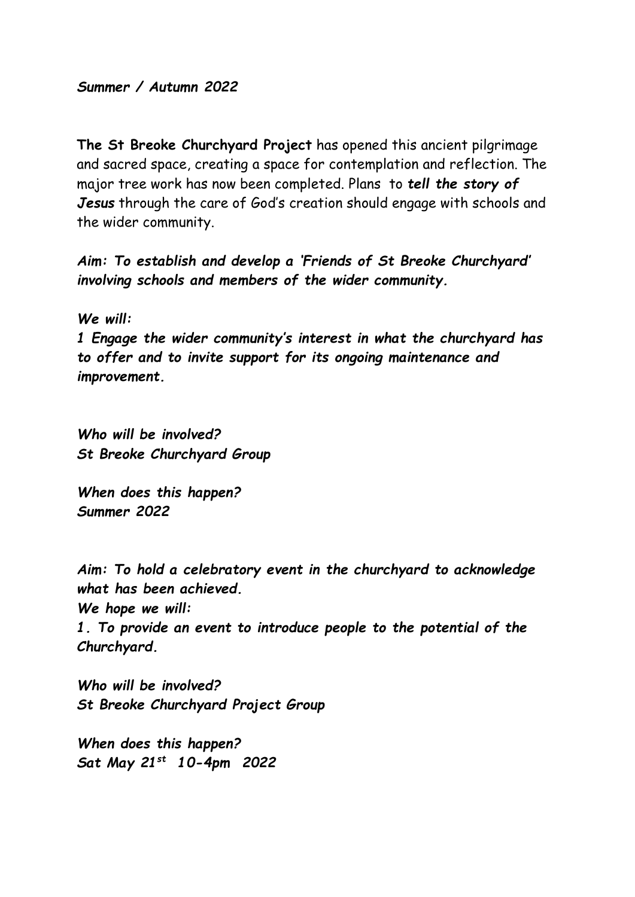#### *Summer / Autumn 2022*

**The St Breoke Churchyard Project** has opened this ancient pilgrimage and sacred space, creating a space for contemplation and reflection. The major tree work has now been completed. Plans to *tell the story of Jesus* through the care of God's creation should engage with schools and the wider community.

*Aim: To establish and develop a 'Friends of St Breoke Churchyard' involving schools and members of the wider community.*

*We will:*

*1 Engage the wider community's interest in what the churchyard has to offer and to invite support for its ongoing maintenance and improvement.* 

*Who will be involved? St Breoke Churchyard Group* 

*When does this happen? Summer 2022*

*Aim: To hold a celebratory event in the churchyard to acknowledge what has been achieved.*

*We hope we will:*

*1. To provide an event to introduce people to the potential of the Churchyard.*

*Who will be involved? St Breoke Churchyard Project Group*

*When does this happen? Sat May 21st 10-4pm 2022*